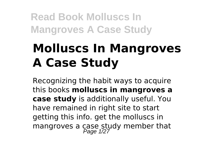# **Molluscs In Mangroves A Case Study**

Recognizing the habit ways to acquire this books **molluscs in mangroves a case study** is additionally useful. You have remained in right site to start getting this info. get the molluscs in mangroves a case study member that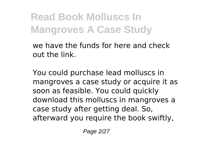we have the funds for here and check out the link.

You could purchase lead molluscs in mangroves a case study or acquire it as soon as feasible. You could quickly download this molluscs in mangroves a case study after getting deal. So, afterward you require the book swiftly,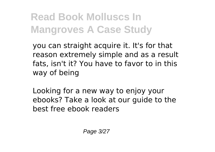you can straight acquire it. It's for that reason extremely simple and as a result fats, isn't it? You have to favor to in this way of being

Looking for a new way to enjoy your ebooks? Take a look at our guide to the best free ebook readers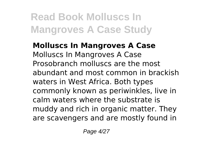**Molluscs In Mangroves A Case** Molluscs In Mangroves A Case Prosobranch molluscs are the most abundant and most common in brackish waters in West Africa. Both types commonly known as periwinkles, live in calm waters where the substrate is muddy and rich in organic matter. They are scavengers and are mostly found in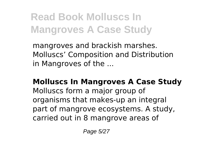mangroves and brackish marshes. Molluscs' Composition and Distribution in Mangroves of the ...

**Molluscs In Mangroves A Case Study** Molluscs form a major group of organisms that makes-up an integral part of mangrove ecosystems. A study, carried out in 8 mangrove areas of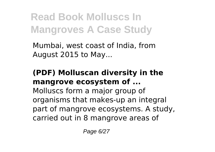Mumbai, west coast of India, from August 2015 to May...

#### **(PDF) Molluscan diversity in the mangrove ecosystem of ...**

Molluscs form a major group of organisms that makes-up an integral part of mangrove ecosystems. A study, carried out in 8 mangrove areas of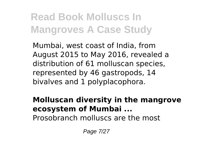Mumbai, west coast of India, from August 2015 to May 2016, revealed a distribution of 61 molluscan species, represented by 46 gastropods, 14 bivalves and 1 polyplacophora.

#### **Molluscan diversity in the mangrove ecosystem of Mumbai ...**

Prosobranch molluscs are the most

Page 7/27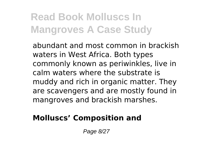abundant and most common in brackish waters in West Africa. Both types commonly known as periwinkles, live in calm waters where the substrate is muddy and rich in organic matter. They are scavengers and are mostly found in mangroves and brackish marshes.

#### **Molluscs' Composition and**

Page 8/27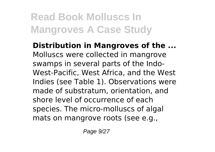**Distribution in Mangroves of the ...** Molluscs were collected in mangrove swamps in several parts of the Indo-West-Pacific, West Africa, and the West Indies (see Table 1). Observations were made of substratum, orientation, and shore level of occurrence of each species. The micro-molluscs of algal mats on mangrove roots (see e.g.,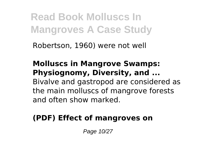Robertson, 1960) were not well

**Molluscs in Mangrove Swamps: Physiognomy, Diversity, and ...** Bivalve and gastropod are considered as the main molluscs of mangrove forests and often show marked.

### **(PDF) Effect of mangroves on**

Page 10/27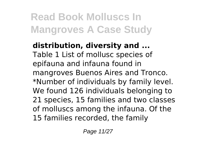**distribution, diversity and ...** Table 1 List of mollusc species of epifauna and infauna found in mangroves Buenos Aires and Tronco. \*Number of individuals by family level. We found 126 individuals belonging to 21 species, 15 families and two classes of molluscs among the infauna. Of the 15 families recorded, the family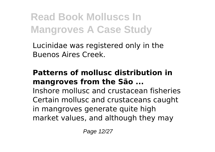Lucinidae was registered only in the Buenos Aires Creek.

#### **Patterns of mollusc distribution in mangroves from the São ...**

Inshore mollusc and crustacean fisheries Certain mollusc and crustaceans caught in mangroves generate quite high market values, and although they may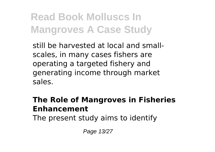still be harvested at local and smallscales, in many cases fishers are operating a targeted fishery and generating income through market sales.

#### **The Role of Mangroves in Fisheries Enhancement**

The present study aims to identify

Page 13/27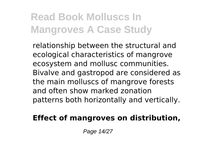relationship between the structural and ecological characteristics of mangrove ecosystem and mollusc communities. Bivalve and gastropod are considered as the main molluscs of mangrove forests and often show marked zonation patterns both horizontally and vertically.

#### **Effect of mangroves on distribution,**

Page 14/27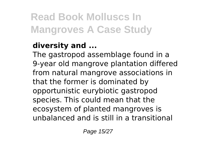### **diversity and ...**

The gastropod assemblage found in a 9-year old mangrove plantation differed from natural mangrove associations in that the former is dominated by opportunistic eurybiotic gastropod species. This could mean that the ecosystem of planted mangroves is unbalanced and is still in a transitional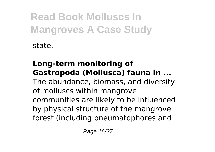state.

#### **Long-term monitoring of Gastropoda (Mollusca) fauna in ...** The abundance, biomass, and diversity of molluscs within mangrove communities are likely to be influenced

by physical structure of the mangrove forest (including pneumatophores and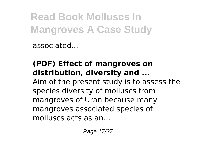associated...

### **(PDF) Effect of mangroves on distribution, diversity and ...**

Aim of the present study is to assess the species diversity of molluscs from mangroves of Uran because many mangroves associated species of molluscs acts as an…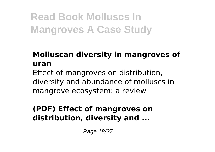### **Molluscan diversity in mangroves of uran**

Effect of mangroves on distribution, diversity and abundance of molluscs in mangrove ecosystem: a review

#### **(PDF) Effect of mangroves on distribution, diversity and ...**

Page 18/27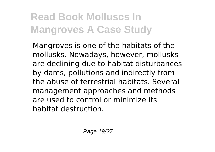Mangroves is one of the habitats of the mollusks. Nowadays, however, mollusks are declining due to habitat disturbances by dams, pollutions and indirectly from the abuse of terrestrial habitats. Several management approaches and methods are used to control or minimize its habitat destruction.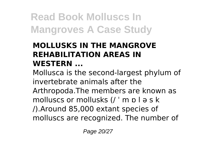#### **MOLLUSKS IN THE MANGROVE REHABILITATION AREAS IN WESTERN ...**

Mollusca is the second-largest phylum of invertebrate animals after the Arthropoda.The members are known as molluscs or mollusks (/ ˈ m ɒ l ə s k /).Around 85,000 extant species of molluscs are recognized. The number of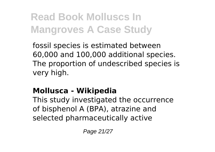fossil species is estimated between 60,000 and 100,000 additional species. The proportion of undescribed species is very high.

### **Mollusca - Wikipedia**

This study investigated the occurrence of bisphenol A (BPA), atrazine and selected pharmaceutically active

Page 21/27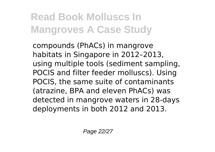compounds (PhACs) in mangrove habitats in Singapore in 2012–2013, using multiple tools (sediment sampling, POCIS and filter feeder molluscs). Using POCIS, the same suite of contaminants (atrazine, BPA and eleven PhACs) was detected in mangrove waters in 28-days deployments in both 2012 and 2013.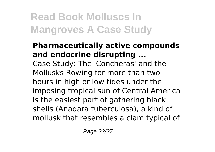#### **Pharmaceutically active compounds and endocrine disrupting ...** Case Study: The 'Concheras' and the Mollusks Rowing for more than two hours in high or low tides under the imposing tropical sun of Central America is the easiest part of gathering black shells (Anadara tuberculosa), a kind of mollusk that resembles a clam typical of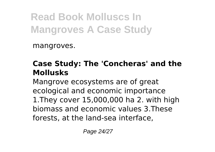mangroves.

### **Case Study: The 'Concheras' and the Mollusks**

Mangrove ecosystems are of great ecological and economic importance 1.They cover 15,000,000 ha 2. with high biomass and economic values 3.These forests, at the land-sea interface,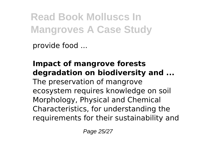provide food ...

#### **Impact of mangrove forests degradation on biodiversity and ...** The preservation of mangrove ecosystem requires knowledge on soil Morphology, Physical and Chemical Characteristics, for understanding the requirements for their sustainability and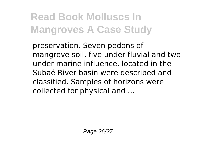preservation. Seven pedons of mangrove soil, five under fluvial and two under marine influence, located in the Subaé River basin were described and classified. Samples of horizons were collected for physical and ...